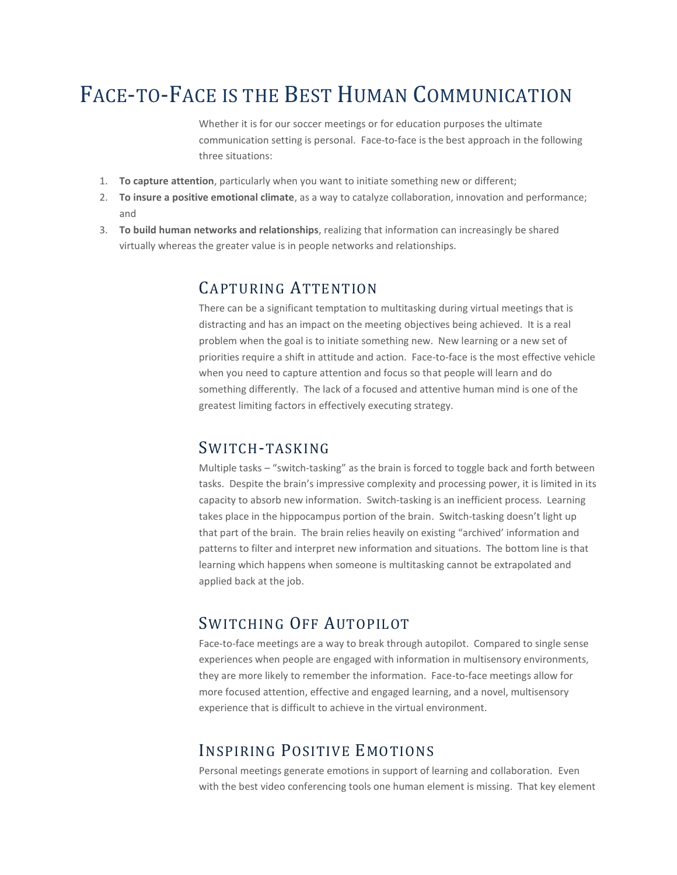## FACE-TO-FACE IS THE BEST HUMAN COMMUNICATION

Whether it is for our soccer meetings or for education purposes the ultimate communication setting is personal. Face-to-face is the best approach in the following three situations:

- 1. **To capture attention**, particularly when you want to initiate something new or different;
- 2. **To insure a positive emotional climate**, as a way to catalyze collaboration, innovation and performance; and
- 3. **To build human networks and relationships**, realizing that information can increasingly be shared virtually whereas the greater value is in people networks and relationships.

#### CAPTURING ATTENTION

There can be a significant temptation to multitasking during virtual meetings that is distracting and has an impact on the meeting objectives being achieved. It is a real problem when the goal is to initiate something new. New learning or a new set of priorities require a shift in attitude and action. Face-to-face is the most effective vehicle when you need to capture attention and focus so that people will learn and do something differently. The lack of a focused and attentive human mind is one of the greatest limiting factors in effectively executing strategy.

#### SWITCH-TASKING

Multiple tasks – "switch-tasking" as the brain is forced to toggle back and forth between tasks. Despite the brain's impressive complexity and processing power, it is limited in its capacity to absorb new information. Switch-tasking is an inefficient process. Learning takes place in the hippocampus portion of the brain. Switch-tasking doesn't light up that part of the brain. The brain relies heavily on existing "archived' information and patterns to filter and interpret new information and situations. The bottom line is that learning which happens when someone is multitasking cannot be extrapolated and applied back at the job.

#### SWITCHING OFF AUTOPILOT

Face-to-face meetings are a way to break through autopilot. Compared to single sense experiences when people are engaged with information in multisensory environments, they are more likely to remember the information. Face-to-face meetings allow for more focused attention, effective and engaged learning, and a novel, multisensory experience that is difficult to achieve in the virtual environment.

#### INSPIRING POSITIVE EMOTIONS

Personal meetings generate emotions in support of learning and collaboration. Even with the best video conferencing tools one human element is missing. That key element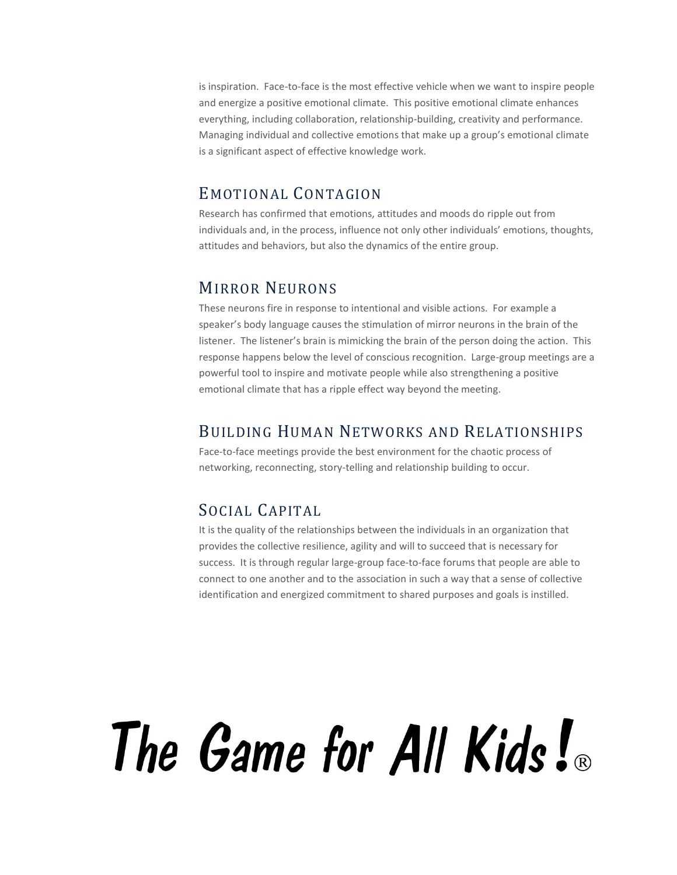is inspiration. Face-to-face is the most effective vehicle when we want to inspire people and energize a positive emotional climate. This positive emotional climate enhances everything, including collaboration, relationship-building, creativity and performance. Managing individual and collective emotions that make up a group's emotional climate is a significant aspect of effective knowledge work.

#### EMOTIONAL CONTAGION

Research has confirmed that emotions, attitudes and moods do ripple out from individuals and, in the process, influence not only other individuals' emotions, thoughts, attitudes and behaviors, but also the dynamics of the entire group.

#### MIRROR NEURONS

These neurons fire in response to intentional and visible actions. For example a speaker's body language causes the stimulation of mirror neurons in the brain of the listener. The listener's brain is mimicking the brain of the person doing the action. This response happens below the level of conscious recognition. Large-group meetings are a powerful tool to inspire and motivate people while also strengthening a positive emotional climate that has a ripple effect way beyond the meeting.

#### BUILDING HUMAN NETWORKS AND RELATIONSHIPS

Face-to-face meetings provide the best environment for the chaotic process of networking, reconnecting, story-telling and relationship building to occur.

### SOCIAL CAPITAL

It is the quality of the relationships between the individuals in an organization that provides the collective resilience, agility and will to succeed that is necessary for success. It is through regular large-group face-to-face forums that people are able to connect to one another and to the association in such a way that a sense of collective identification and energized commitment to shared purposes and goals is instilled.

# The Game for All Kids!®